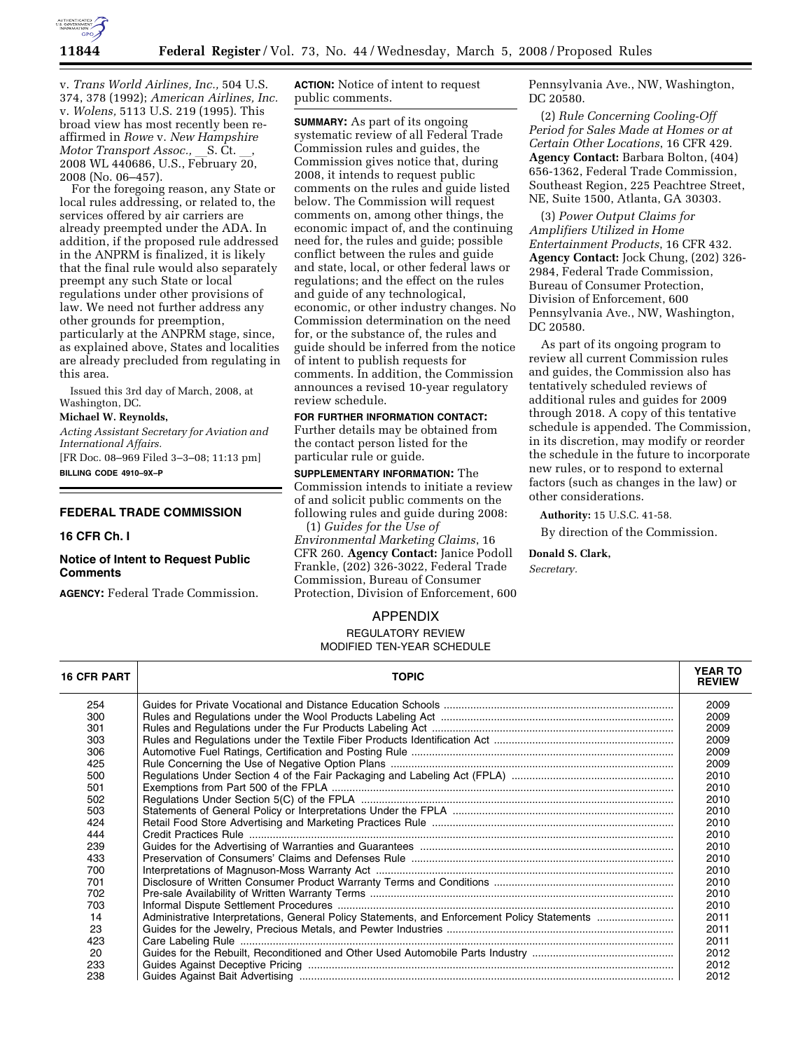

v. *Trans World Airlines, Inc.,* 504 U.S. 374, 378 (1992); *American Airlines, Inc.*  v. *Wolens,* 5113 U.S. 219 (1995). This broad view has most recently been reaffirmed in *Rowe* v. *New Hampshire Motor Transport Assoc., S. Ct.* 2008 WL 440686, U.S., February 20, 2008 (No. 06–457).

For the foregoing reason, any State or local rules addressing, or related to, the services offered by air carriers are already preempted under the ADA. In addition, if the proposed rule addressed in the ANPRM is finalized, it is likely that the final rule would also separately preempt any such State or local regulations under other provisions of law. We need not further address any other grounds for preemption, particularly at the ANPRM stage, since, as explained above, States and localities are already precluded from regulating in this area.

Issued this 3rd day of March, 2008, at Washington, DC.

### **Michael W. Reynolds,**

*Acting Assistant Secretary for Aviation and International Affairs.* 

[FR Doc. 08–969 Filed 3–3–08; 11:13 pm] **BILLING CODE 4910–9X–P** 

## **FEDERAL TRADE COMMISSION**

#### **16 CFR Ch. I**

## **Notice of Intent to Request Public Comments**

**AGENCY:** Federal Trade Commission.

**ACTION:** Notice of intent to request public comments.

**SUMMARY:** As part of its ongoing systematic review of all Federal Trade Commission rules and guides, the Commission gives notice that, during 2008, it intends to request public comments on the rules and guide listed below. The Commission will request comments on, among other things, the economic impact of, and the continuing need for, the rules and guide; possible conflict between the rules and guide and state, local, or other federal laws or regulations; and the effect on the rules and guide of any technological, economic, or other industry changes. No Commission determination on the need for, or the substance of, the rules and guide should be inferred from the notice of intent to publish requests for comments. In addition, the Commission announces a revised 10-year regulatory review schedule.

### **FOR FURTHER INFORMATION CONTACT:**

Further details may be obtained from the contact person listed for the particular rule or guide.

**SUPPLEMENTARY INFORMATION:** The Commission intends to initiate a review of and solicit public comments on the following rules and guide during 2008:

(1) *Guides for the Use of Environmental Marketing Claims*, 16 CFR 260. **Agency Contact:** Janice Podoll Frankle, (202) 326-3022, Federal Trade Commission, Bureau of Consumer Protection, Division of Enforcement, 600 Pennsylvania Ave., NW, Washington, DC 20580.

(2) *Rule Concerning Cooling-Off Period for Sales Made at Homes or at Certain Other Locations*, 16 CFR 429. **Agency Contact:** Barbara Bolton, (404) 656-1362, Federal Trade Commission, Southeast Region, 225 Peachtree Street, NE, Suite 1500, Atlanta, GA 30303.

(3) *Power Output Claims for Amplifiers Utilized in Home Entertainment Products*, 16 CFR 432. **Agency Contact:** Jock Chung, (202) 326- 2984, Federal Trade Commission, Bureau of Consumer Protection, Division of Enforcement, 600 Pennsylvania Ave., NW, Washington, DC 20580.

As part of its ongoing program to review all current Commission rules and guides, the Commission also has tentatively scheduled reviews of additional rules and guides for 2009 through 2018. A copy of this tentative schedule is appended. The Commission, in its discretion, may modify or reorder the schedule in the future to incorporate new rules, or to respond to external factors (such as changes in the law) or other considerations.

**Authority:** 15 U.S.C. 41-58.

By direction of the Commission.

# **Donald S. Clark,**

*Secretary.* 

# APPENDIX

#### REGULATORY REVIEW MODIFIED TEN-YEAR SCHEDULE

| <b>16 CFR PART</b> | TOPIC | <b>YEAR TO</b><br><b>REVIEW</b> |
|--------------------|-------|---------------------------------|
| 254                |       | 2009                            |
| 300                |       | 2009                            |
| 301                |       | 2009                            |
| 303                |       | 2009                            |
| 306                |       | 2009                            |
| 425                |       | 2009                            |
| 500                |       | 2010                            |
| 501                |       | 2010                            |
| 502                |       | 2010                            |
| 503                |       | 2010                            |
| 424                |       | 2010                            |
| 444                |       | 2010                            |
| 239                |       | 2010                            |
| 433                |       | 2010                            |
| 700                |       | 2010                            |
| 701                |       | 2010                            |
| 702                |       | 2010                            |
| 703                |       | 2010                            |
| 14                 |       | 2011                            |
| 23                 |       | 2011                            |
| 423                |       | 2011                            |
| 20                 |       | 2012                            |
| 233                |       | 2012                            |
| 238                |       | 2012                            |